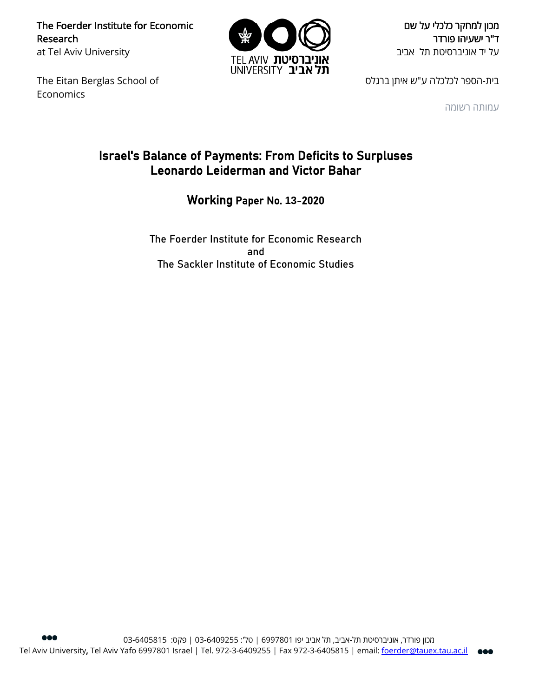The Foerder Institute for Economic Research at Tel Aviv University

The Eitan Berglas School of Economics



מכון למחקר כלכלי על שם ד"ר ישעיהו פורדר על יד אוניברסיטת תל אביב

בית-הספר לכלכלה ע"ש איתן ברגלס

עמותה רשומה

### Israel's Balance of Payments: From Deficits to Surpluses Leonardo Leiderman and Victor Bahar

Working Paper No. **13**-2020

The Foerder Institute for Economic Research and The Sackler Institute of Economic Studies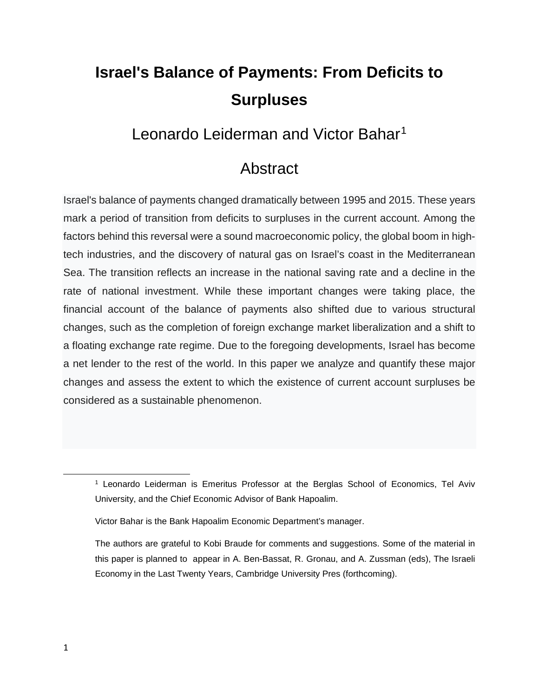# **Israel's Balance of Payments: From Deficits to Surpluses**

### Leonardo Leiderman and Victor Bahar<sup>[1](#page-1-0)</sup>

### Abstract

Israel's balance of payments changed dramatically between 1995 and 2015. These years mark a period of transition from deficits to surpluses in the current account. Among the factors behind this reversal were a sound macroeconomic policy, the global boom in hightech industries, and the discovery of natural gas on Israel's coast in the Mediterranean Sea. The transition reflects an increase in the national saving rate and a decline in the rate of national investment. While these important changes were taking place, the financial account of the balance of payments also shifted due to various structural changes, such as the completion of foreign exchange market liberalization and a shift to a floating exchange rate regime. Due to the foregoing developments, Israel has become a net lender to the rest of the world. In this paper we analyze and quantify these major changes and assess the extent to which the existence of current account surpluses be considered as a sustainable phenomenon.

<span id="page-1-0"></span> $\overline{\phantom{a}}$ 

<sup>&</sup>lt;sup>1</sup> Leonardo Leiderman is Emeritus Professor at the Berglas School of Economics, Tel Aviv University, and the Chief Economic Advisor of Bank Hapoalim.

Victor Bahar is the Bank Hapoalim Economic Department's manager.

The authors are grateful to Kobi Braude for comments and suggestions. Some of the material in this paper is planned to appear in A. Ben-Bassat, R. Gronau, and A. Zussman (eds), The Israeli Economy in the Last Twenty Years, Cambridge University Pres (forthcoming).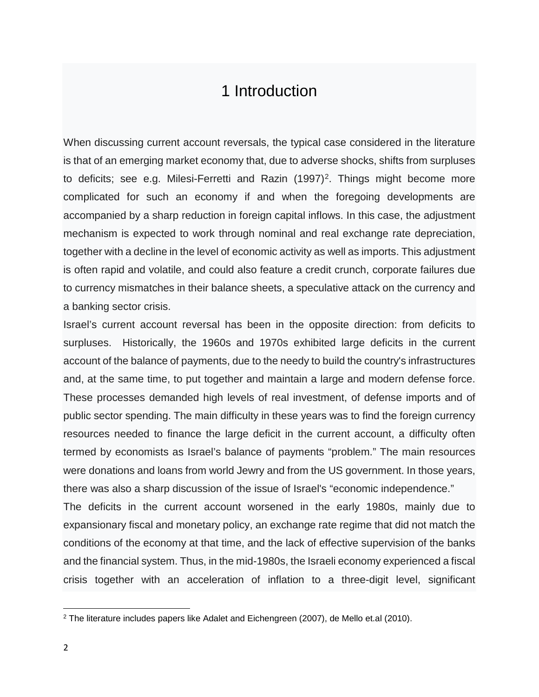### 1 Introduction

When discussing current account reversals, the typical case considered in the literature is that of an emerging market economy that, due to adverse shocks, shifts from surpluses to deficits; see e.g. Milesi-Ferretti and Razin (1997)<sup>2</sup>. Things might become more complicated for such an economy if and when the foregoing developments are accompanied by a sharp reduction in foreign capital inflows. In this case, the adjustment mechanism is expected to work through nominal and real exchange rate depreciation, together with a decline in the level of economic activity as well as imports. This adjustment is often rapid and volatile, and could also feature a credit crunch, corporate failures due to currency mismatches in their balance sheets, a speculative attack on the currency and a banking sector crisis.

Israel's current account reversal has been in the opposite direction: from deficits to surpluses. Historically, the 1960s and 1970s exhibited large deficits in the current account of the balance of payments, due to the needy to build the country's infrastructures and, at the same time, to put together and maintain a large and modern defense force. These processes demanded high levels of real investment, of defense imports and of public sector spending. The main difficulty in these years was to find the foreign currency resources needed to finance the large deficit in the current account, a difficulty often termed by economists as Israel's balance of payments "problem." The main resources were donations and loans from world Jewry and from the US government. In those years, there was also a sharp discussion of the issue of Israel's "economic independence." The deficits in the current account worsened in the early 1980s, mainly due to

expansionary fiscal and monetary policy, an exchange rate regime that did not match the conditions of the economy at that time, and the lack of effective supervision of the banks and the financial system. Thus, in the mid-1980s, the Israeli economy experienced a fiscal crisis together with an acceleration of inflation to a three-digit level, significant

 $\overline{a}$ 

<span id="page-2-0"></span><sup>2</sup> The literature includes papers like Adalet and Eichengreen (2007), de Mello et.al (2010).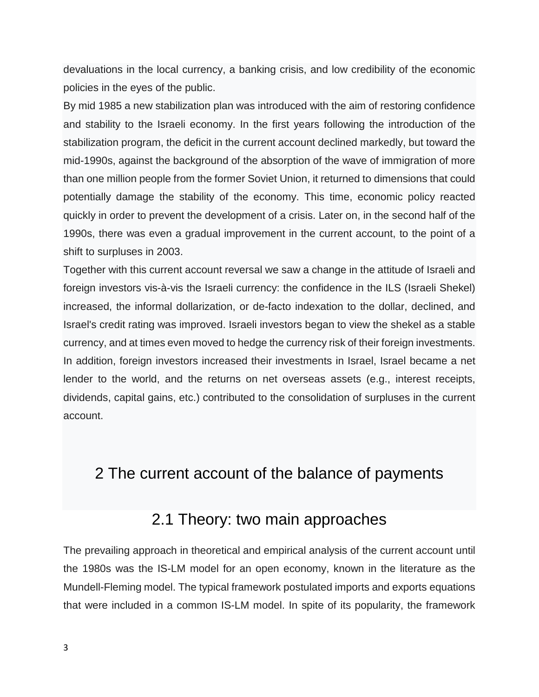devaluations in the local currency, a banking crisis, and low credibility of the economic policies in the eyes of the public.

By mid 1985 a new stabilization plan was introduced with the aim of restoring confidence and stability to the Israeli economy. In the first years following the introduction of the stabilization program, the deficit in the current account declined markedly, but toward the mid-1990s, against the background of the absorption of the wave of immigration of more than one million people from the former Soviet Union, it returned to dimensions that could potentially damage the stability of the economy. This time, economic policy reacted quickly in order to prevent the development of a crisis. Later on, in the second half of the 1990s, there was even a gradual improvement in the current account, to the point of a shift to surpluses in 2003.

Together with this current account reversal we saw a change in the attitude of Israeli and foreign investors vis-à-vis the Israeli currency: the confidence in the ILS (Israeli Shekel) increased, the informal dollarization, or de-facto indexation to the dollar, declined, and Israel's credit rating was improved. Israeli investors began to view the shekel as a stable currency, and at times even moved to hedge the currency risk of their foreign investments. In addition, foreign investors increased their investments in Israel, Israel became a net lender to the world, and the returns on net overseas assets (e.g., interest receipts, dividends, capital gains, etc.) contributed to the consolidation of surpluses in the current account.

## 2 The current account of the balance of payments

### 2.1 Theory: two main approaches

The prevailing approach in theoretical and empirical analysis of the current account until the 1980s was the IS-LM model for an open economy, known in the literature as the Mundell-Fleming model. The typical framework postulated imports and exports equations that were included in a common IS-LM model. In spite of its popularity, the framework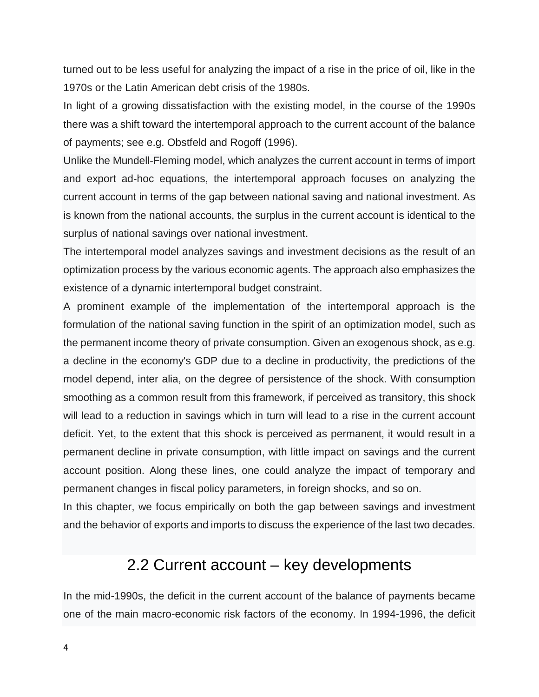turned out to be less useful for analyzing the impact of a rise in the price of oil, like in the 1970s or the Latin American debt crisis of the 1980s.

In light of a growing dissatisfaction with the existing model, in the course of the 1990s there was a shift toward the intertemporal approach to the current account of the balance of payments; see e.g. Obstfeld and Rogoff (1996).

Unlike the Mundell-Fleming model, which analyzes the current account in terms of import and export ad-hoc equations, the intertemporal approach focuses on analyzing the current account in terms of the gap between national saving and national investment. As is known from the national accounts, the surplus in the current account is identical to the surplus of national savings over national investment.

The intertemporal model analyzes savings and investment decisions as the result of an optimization process by the various economic agents. The approach also emphasizes the existence of a dynamic intertemporal budget constraint.

A prominent example of the implementation of the intertemporal approach is the formulation of the national saving function in the spirit of an optimization model, such as the permanent income theory of private consumption. Given an exogenous shock, as e.g. a decline in the economy's GDP due to a decline in productivity, the predictions of the model depend, inter alia, on the degree of persistence of the shock. With consumption smoothing as a common result from this framework, if perceived as transitory, this shock will lead to a reduction in savings which in turn will lead to a rise in the current account deficit. Yet, to the extent that this shock is perceived as permanent, it would result in a permanent decline in private consumption, with little impact on savings and the current account position. Along these lines, one could analyze the impact of temporary and permanent changes in fiscal policy parameters, in foreign shocks, and so on.

In this chapter, we focus empirically on both the gap between savings and investment and the behavior of exports and imports to discuss the experience of the last two decades.

## 2.2 Current account – key developments

In the mid-1990s, the deficit in the current account of the balance of payments became one of the main macro-economic risk factors of the economy. In 1994-1996, the deficit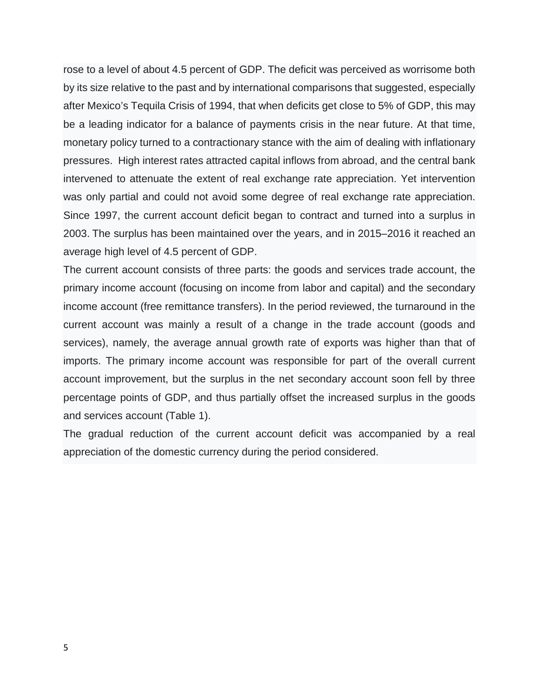rose to a level of about 4.5 percent of GDP. The deficit was perceived as worrisome both by its size relative to the past and by international comparisons that suggested, especially after Mexico's Tequila Crisis of 1994, that when deficits get close to 5% of GDP, this may be a leading indicator for a balance of payments crisis in the near future. At that time, monetary policy turned to a contractionary stance with the aim of dealing with inflationary pressures. High interest rates attracted capital inflows from abroad, and the central bank intervened to attenuate the extent of real exchange rate appreciation. Yet intervention was only partial and could not avoid some degree of real exchange rate appreciation. Since 1997, the current account deficit began to contract and turned into a surplus in 2003. The surplus has been maintained over the years, and in 2015–2016 it reached an average high level of 4.5 percent of GDP.

The current account consists of three parts: the goods and services trade account, the primary income account (focusing on income from labor and capital) and the secondary income account (free remittance transfers). In the period reviewed, the turnaround in the current account was mainly a result of a change in the trade account (goods and services), namely, the average annual growth rate of exports was higher than that of imports. The primary income account was responsible for part of the overall current account improvement, but the surplus in the net secondary account soon fell by three percentage points of GDP, and thus partially offset the increased surplus in the goods and services account (Table 1).

The gradual reduction of the current account deficit was accompanied by a real appreciation of the domestic currency during the period considered.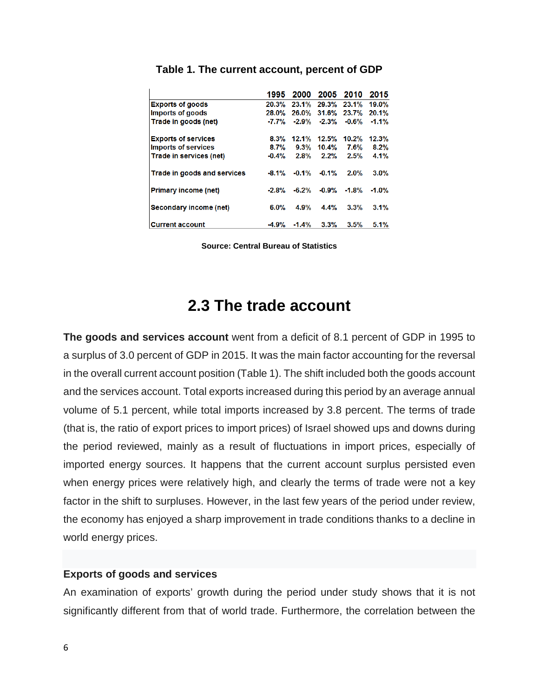|                             | 1995    | 2000    | 2005     | 2010     | 2015     |
|-----------------------------|---------|---------|----------|----------|----------|
| <b>Exports of goods</b>     | 20.3%   | 23.1%   | 29.3%    | 23.1%    | 19.0%    |
| Imports of goods            | 28.0%   | 26.0%   | 31.6%    | 23.7%    | 20.1%    |
| Trade in goods (net)        | $-7.7%$ | $-2.9%$ | $-2.3%$  | $-0.6%$  | $-1.1%$  |
| <b>Exports of services</b>  | $8.3\%$ | 12.1%   | 12.5%    | 10.2%    | 12.3%    |
| <b>Imports of services</b>  | 8.7%    | 9.3%    | $10.4\%$ | 7.6%     | 8.2%     |
| Trade in services (net)     | $-0.4%$ | 2.8%    | 2.2%     | 2.5%     | $4.1\%$  |
| Trade in goods and services | $-8.1%$ | $-0.1%$ | $-0.1%$  | 2.0%     | $3.0\%$  |
| <b>Primary income (net)</b> | $-2.8%$ | $-6.2%$ | $-0.9%$  | $-1.8\%$ | $-1.0\%$ |
| Secondary income (net)      | 6.0%    | 4.9%    | 4.4%     | 3.3%     | 3.1%     |
| <b>Current account</b>      | $-4.9%$ | $-1.4%$ | 3.3%     | 3.5%     | 5.1%     |

#### **Table 1. The current account, percent of GDP**

**Source: Central Bureau of Statistics**

### **2.3 The trade account**

**The goods and services account** went from a deficit of 8.1 percent of GDP in 1995 to a surplus of 3.0 percent of GDP in 2015. It was the main factor accounting for the reversal in the overall current account position (Table 1). The shift included both the goods account and the services account. Total exports increased during this period by an average annual volume of 5.1 percent, while total imports increased by 3.8 percent. The terms of trade (that is, the ratio of export prices to import prices) of Israel showed ups and downs during the period reviewed, mainly as a result of fluctuations in import prices, especially of imported energy sources. It happens that the current account surplus persisted even when energy prices were relatively high, and clearly the terms of trade were not a key factor in the shift to surpluses. However, in the last few years of the period under review, the economy has enjoyed a sharp improvement in trade conditions thanks to a decline in world energy prices.

### **Exports of goods and services**

An examination of exports' growth during the period under study shows that it is not significantly different from that of world trade. Furthermore, the correlation between the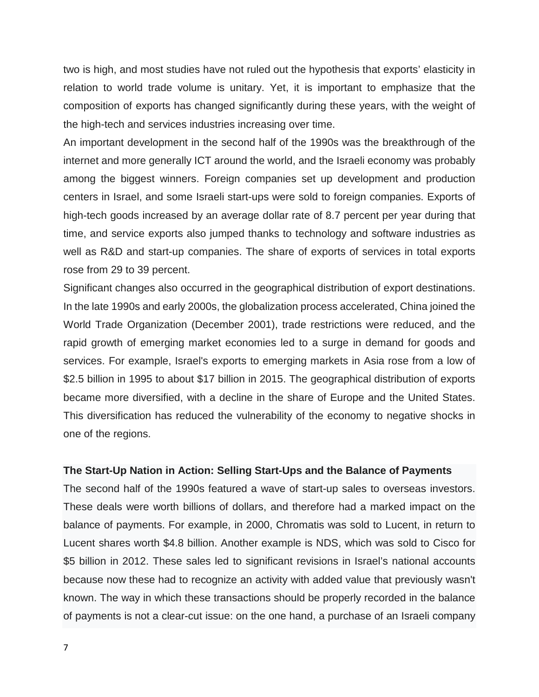two is high, and most studies have not ruled out the hypothesis that exports' elasticity in relation to world trade volume is unitary. Yet, it is important to emphasize that the composition of exports has changed significantly during these years, with the weight of the high-tech and services industries increasing over time.

An important development in the second half of the 1990s was the breakthrough of the internet and more generally ICT around the world, and the Israeli economy was probably among the biggest winners. Foreign companies set up development and production centers in Israel, and some Israeli start-ups were sold to foreign companies. Exports of high-tech goods increased by an average dollar rate of 8.7 percent per year during that time, and service exports also jumped thanks to technology and software industries as well as R&D and start-up companies. The share of exports of services in total exports rose from 29 to 39 percent.

Significant changes also occurred in the geographical distribution of export destinations. In the late 1990s and early 2000s, the globalization process accelerated, China joined the World Trade Organization (December 2001), trade restrictions were reduced, and the rapid growth of emerging market economies led to a surge in demand for goods and services. For example, Israel's exports to emerging markets in Asia rose from a low of \$2.5 billion in 1995 to about \$17 billion in 2015. The geographical distribution of exports became more diversified, with a decline in the share of Europe and the United States. This diversification has reduced the vulnerability of the economy to negative shocks in one of the regions.

### **The Start-Up Nation in Action: Selling Start-Ups and the Balance of Payments**

The second half of the 1990s featured a wave of start-up sales to overseas investors. These deals were worth billions of dollars, and therefore had a marked impact on the balance of payments. For example, in 2000, Chromatis was sold to Lucent, in return to Lucent shares worth \$4.8 billion. Another example is NDS, which was sold to Cisco for \$5 billion in 2012. These sales led to significant revisions in Israel's national accounts because now these had to recognize an activity with added value that previously wasn't known. The way in which these transactions should be properly recorded in the balance of payments is not a clear-cut issue: on the one hand, a purchase of an Israeli company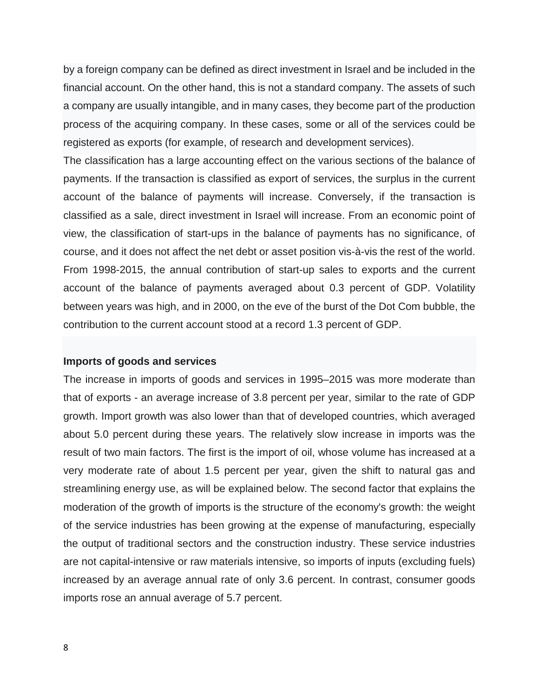by a foreign company can be defined as direct investment in Israel and be included in the financial account. On the other hand, this is not a standard company. The assets of such a company are usually intangible, and in many cases, they become part of the production process of the acquiring company. In these cases, some or all of the services could be registered as exports (for example, of research and development services).

The classification has a large accounting effect on the various sections of the balance of payments. If the transaction is classified as export of services, the surplus in the current account of the balance of payments will increase. Conversely, if the transaction is classified as a sale, direct investment in Israel will increase. From an economic point of view, the classification of start-ups in the balance of payments has no significance, of course, and it does not affect the net debt or asset position vis-à-vis the rest of the world. From 1998-2015, the annual contribution of start-up sales to exports and the current account of the balance of payments averaged about 0.3 percent of GDP. Volatility between years was high, and in 2000, on the eve of the burst of the Dot Com bubble, the contribution to the current account stood at a record 1.3 percent of GDP.

#### **Imports of goods and services**

The increase in imports of goods and services in 1995–2015 was more moderate than that of exports - an average increase of 3.8 percent per year, similar to the rate of GDP growth. Import growth was also lower than that of developed countries, which averaged about 5.0 percent during these years. The relatively slow increase in imports was the result of two main factors. The first is the import of oil, whose volume has increased at a very moderate rate of about 1.5 percent per year, given the shift to natural gas and streamlining energy use, as will be explained below. The second factor that explains the moderation of the growth of imports is the structure of the economy's growth: the weight of the service industries has been growing at the expense of manufacturing, especially the output of traditional sectors and the construction industry. These service industries are not capital-intensive or raw materials intensive, so imports of inputs (excluding fuels) increased by an average annual rate of only 3.6 percent. In contrast, consumer goods imports rose an annual average of 5.7 percent.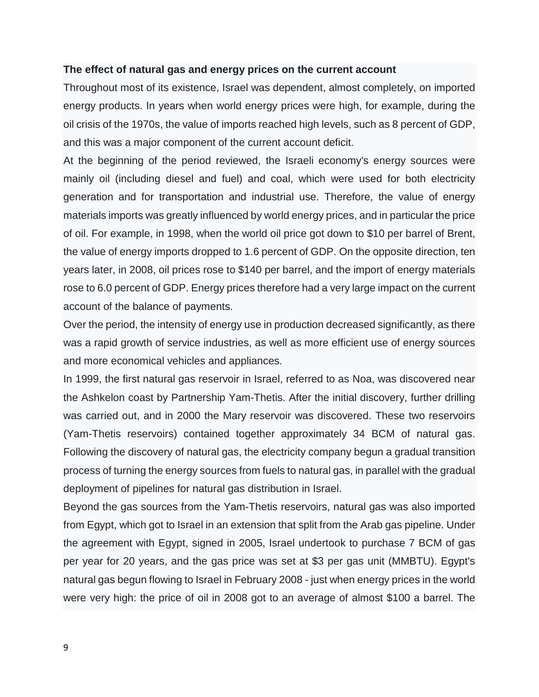### **The effect of natural gas and energy prices on the current account**

Throughout most of its existence, Israel was dependent, almost completely, on imported energy products. In years when world energy prices were high, for example, during the oil crisis of the 1970s, the value of imports reached high levels, such as 8 percent of GDP, and this was a major component of the current account deficit.

At the beginning of the period reviewed, the Israeli economy's energy sources were mainly oil (including diesel and fuel) and coal, which were used for both electricity generation and for transportation and industrial use. Therefore, the value of energy materials imports was greatly influenced by world energy prices, and in particular the price of oil. For example, in 1998, when the world oil price got down to \$10 per barrel of Brent, the value of energy imports dropped to 1.6 percent of GDP. On the opposite direction, ten years later, in 2008, oil prices rose to \$140 per barrel, and the import of energy materials rose to 6.0 percent of GDP. Energy prices therefore had a very large impact on the current account of the balance of payments.

Over the period, the intensity of energy use in production decreased significantly, as there was a rapid growth of service industries, as well as more efficient use of energy sources and more economical vehicles and appliances.

In 1999, the first natural gas reservoir in Israel, referred to as Noa, was discovered near the Ashkelon coast by Partnership Yam-Thetis. After the initial discovery, further drilling was carried out, and in 2000 the Mary reservoir was discovered. These two reservoirs (Yam-Thetis reservoirs) contained together approximately 34 BCM of natural gas. Following the discovery of natural gas, the electricity company begun a gradual transition process of turning the energy sources from fuels to natural gas, in parallel with the gradual deployment of pipelines for natural gas distribution in Israel.

Beyond the gas sources from the Yam-Thetis reservoirs, natural gas was also imported from Egypt, which got to Israel in an extension that split from the Arab gas pipeline. Under the agreement with Egypt, signed in 2005, Israel undertook to purchase 7 BCM of gas per year for 20 years, and the gas price was set at \$3 per gas unit (MMBTU). Egypt's natural gas begun flowing to Israel in February 2008 - just when energy prices in the world were very high: the price of oil in 2008 got to an average of almost \$100 a barrel. The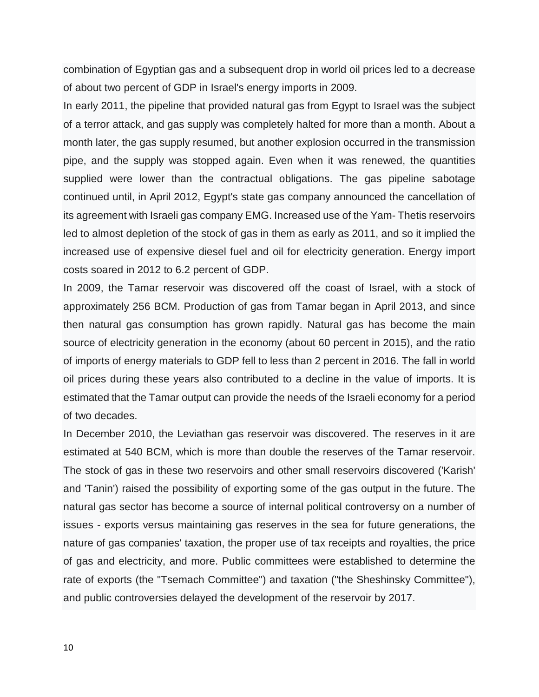combination of Egyptian gas and a subsequent drop in world oil prices led to a decrease of about two percent of GDP in Israel's energy imports in 2009.

In early 2011, the pipeline that provided natural gas from Egypt to Israel was the subject of a terror attack, and gas supply was completely halted for more than a month. About a month later, the gas supply resumed, but another explosion occurred in the transmission pipe, and the supply was stopped again. Even when it was renewed, the quantities supplied were lower than the contractual obligations. The gas pipeline sabotage continued until, in April 2012, Egypt's state gas company announced the cancellation of its agreement with Israeli gas company EMG. Increased use of the Yam- Thetis reservoirs led to almost depletion of the stock of gas in them as early as 2011, and so it implied the increased use of expensive diesel fuel and oil for electricity generation. Energy import costs soared in 2012 to 6.2 percent of GDP.

In 2009, the Tamar reservoir was discovered off the coast of Israel, with a stock of approximately 256 BCM. Production of gas from Tamar began in April 2013, and since then natural gas consumption has grown rapidly. Natural gas has become the main source of electricity generation in the economy (about 60 percent in 2015), and the ratio of imports of energy materials to GDP fell to less than 2 percent in 2016. The fall in world oil prices during these years also contributed to a decline in the value of imports. It is estimated that the Tamar output can provide the needs of the Israeli economy for a period of two decades.

In December 2010, the Leviathan gas reservoir was discovered. The reserves in it are estimated at 540 BCM, which is more than double the reserves of the Tamar reservoir. The stock of gas in these two reservoirs and other small reservoirs discovered ('Karish' and 'Tanin') raised the possibility of exporting some of the gas output in the future. The natural gas sector has become a source of internal political controversy on a number of issues - exports versus maintaining gas reserves in the sea for future generations, the nature of gas companies' taxation, the proper use of tax receipts and royalties, the price of gas and electricity, and more. Public committees were established to determine the rate of exports (the "Tsemach Committee") and taxation ("the Sheshinsky Committee"), and public controversies delayed the development of the reservoir by 2017.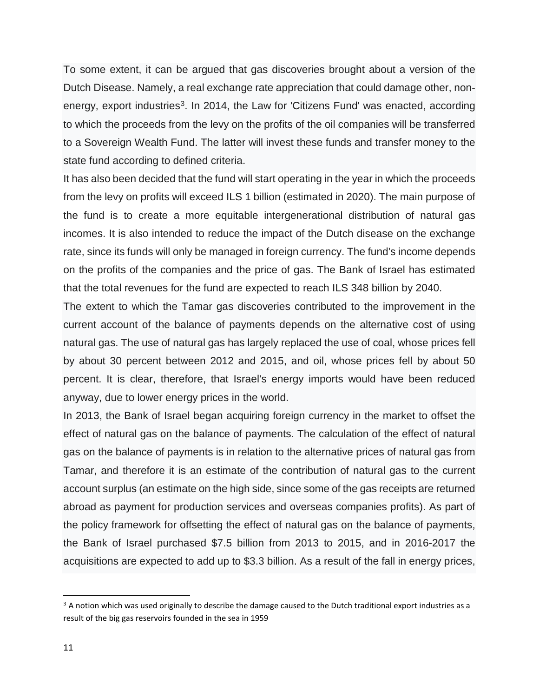To some extent, it can be argued that gas discoveries brought about a version of the Dutch Disease. Namely, a real exchange rate appreciation that could damage other, nonenergy, export industries<sup>3</sup>. In 2014, the Law for 'Citizens Fund' was enacted, according to which the proceeds from the levy on the profits of the oil companies will be transferred to a Sovereign Wealth Fund. The latter will invest these funds and transfer money to the state fund according to defined criteria.

It has also been decided that the fund will start operating in the year in which the proceeds from the levy on profits will exceed ILS 1 billion (estimated in 2020). The main purpose of the fund is to create a more equitable intergenerational distribution of natural gas incomes. It is also intended to reduce the impact of the Dutch disease on the exchange rate, since its funds will only be managed in foreign currency. The fund's income depends on the profits of the companies and the price of gas. The Bank of Israel has estimated that the total revenues for the fund are expected to reach ILS 348 billion by 2040.

The extent to which the Tamar gas discoveries contributed to the improvement in the current account of the balance of payments depends on the alternative cost of using natural gas. The use of natural gas has largely replaced the use of coal, whose prices fell by about 30 percent between 2012 and 2015, and oil, whose prices fell by about 50 percent. It is clear, therefore, that Israel's energy imports would have been reduced anyway, due to lower energy prices in the world.

In 2013, the Bank of Israel began acquiring foreign currency in the market to offset the effect of natural gas on the balance of payments. The calculation of the effect of natural gas on the balance of payments is in relation to the alternative prices of natural gas from Tamar, and therefore it is an estimate of the contribution of natural gas to the current account surplus (an estimate on the high side, since some of the gas receipts are returned abroad as payment for production services and overseas companies profits). As part of the policy framework for offsetting the effect of natural gas on the balance of payments, the Bank of Israel purchased \$7.5 billion from 2013 to 2015, and in 2016-2017 the acquisitions are expected to add up to \$3.3 billion. As a result of the fall in energy prices,

<span id="page-11-0"></span> $3$  A notion which was used originally to describe the damage caused to the Dutch traditional export industries as a result of the big gas reservoirs founded in the sea in 1959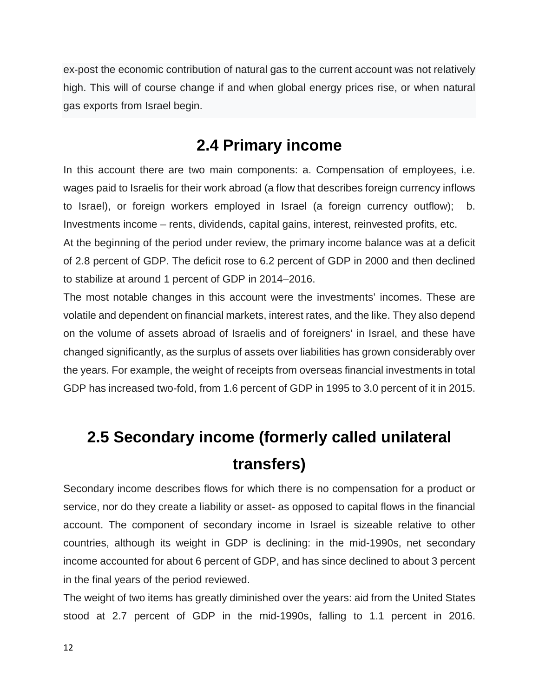ex-post the economic contribution of natural gas to the current account was not relatively high. This will of course change if and when global energy prices rise, or when natural gas exports from Israel begin.

# **2.4 Primary income**

In this account there are two main components: a. Compensation of employees, i.e. wages paid to Israelis for their work abroad (a flow that describes foreign currency inflows to Israel), or foreign workers employed in Israel (a foreign currency outflow); b. Investments income – rents, dividends, capital gains, interest, reinvested profits, etc.

At the beginning of the period under review, the primary income balance was at a deficit of 2.8 percent of GDP. The deficit rose to 6.2 percent of GDP in 2000 and then declined to stabilize at around 1 percent of GDP in 2014–2016.

The most notable changes in this account were the investments' incomes. These are volatile and dependent on financial markets, interest rates, and the like. They also depend on the volume of assets abroad of Israelis and of foreigners' in Israel, and these have changed significantly, as the surplus of assets over liabilities has grown considerably over the years. For example, the weight of receipts from overseas financial investments in total GDP has increased two-fold, from 1.6 percent of GDP in 1995 to 3.0 percent of it in 2015.

# **2.5 Secondary income (formerly called unilateral transfers)**

Secondary income describes flows for which there is no compensation for a product or service, nor do they create a liability or asset- as opposed to capital flows in the financial account. The component of secondary income in Israel is sizeable relative to other countries, although its weight in GDP is declining: in the mid-1990s, net secondary income accounted for about 6 percent of GDP, and has since declined to about 3 percent in the final years of the period reviewed.

The weight of two items has greatly diminished over the years: aid from the United States stood at 2.7 percent of GDP in the mid-1990s, falling to 1.1 percent in 2016.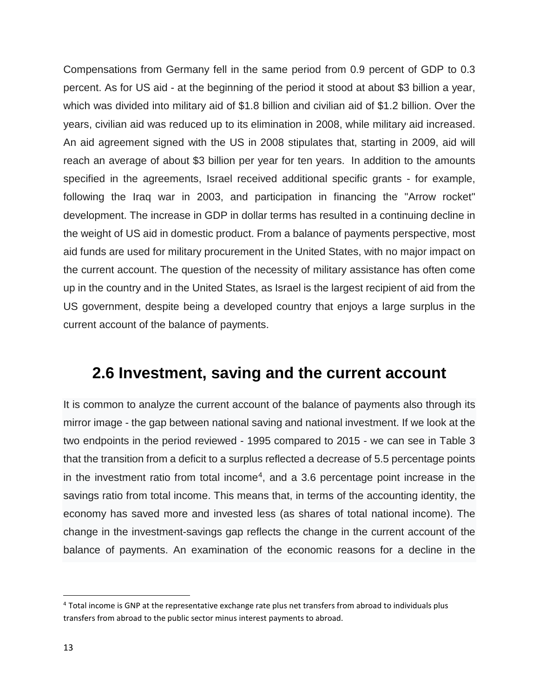Compensations from Germany fell in the same period from 0.9 percent of GDP to 0.3 percent. As for US aid - at the beginning of the period it stood at about \$3 billion a year, which was divided into military aid of \$1.8 billion and civilian aid of \$1.2 billion. Over the years, civilian aid was reduced up to its elimination in 2008, while military aid increased. An aid agreement signed with the US in 2008 stipulates that, starting in 2009, aid will reach an average of about \$3 billion per year for ten years. In addition to the amounts specified in the agreements, Israel received additional specific grants - for example, following the Iraq war in 2003, and participation in financing the "Arrow rocket" development. The increase in GDP in dollar terms has resulted in a continuing decline in the weight of US aid in domestic product. From a balance of payments perspective, most aid funds are used for military procurement in the United States, with no major impact on the current account. The question of the necessity of military assistance has often come up in the country and in the United States, as Israel is the largest recipient of aid from the US government, despite being a developed country that enjoys a large surplus in the current account of the balance of payments.

### **2.6 Investment, saving and the current account**

It is common to analyze the current account of the balance of payments also through its mirror image - the gap between national saving and national investment. If we look at the two endpoints in the period reviewed - 1995 compared to 2015 - we can see in Table 3 that the transition from a deficit to a surplus reflected a decrease of 5.5 percentage points in the investment ratio from total income<sup>[4](#page-13-0)</sup>, and a 3.6 percentage point increase in the savings ratio from total income. This means that, in terms of the accounting identity, the economy has saved more and invested less (as shares of total national income). The change in the investment-savings gap reflects the change in the current account of the balance of payments. An examination of the economic reasons for a decline in the

<span id="page-13-0"></span> <sup>4</sup> Total income is GNP at the representative exchange rate plus net transfers from abroad to individuals plus transfers from abroad to the public sector minus interest payments to abroad.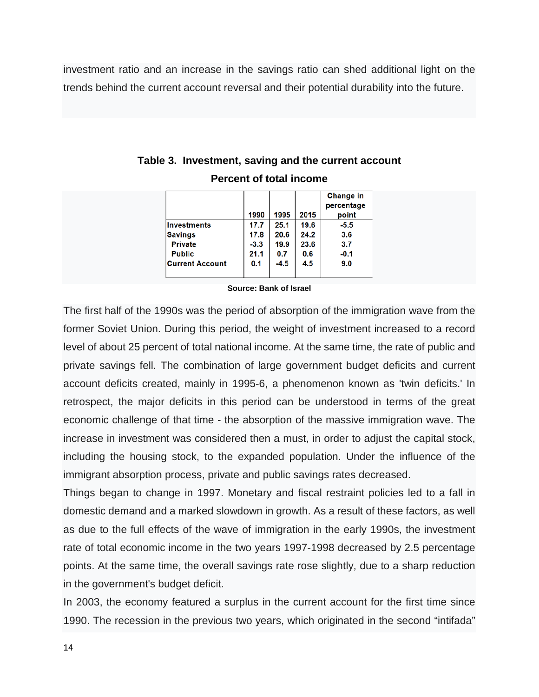investment ratio and an increase in the savings ratio can shed additional light on the trends behind the current account reversal and their potential durability into the future.

|                        | 1990   | 1995   | 2015 | Change in<br>percentage<br>point |
|------------------------|--------|--------|------|----------------------------------|
| <b>Investments</b>     | 17.7   | 25.1   | 19.6 | $-5.5$                           |
| <b>Savings</b>         | 17.8   | 20.6   | 24.2 | 3.6                              |
| <b>Private</b>         | $-3.3$ | 19.9   | 23.6 | 3.7                              |
| <b>Public</b>          | 21.1   | 0.7    | 0.6  | $-0.1$                           |
| <b>Current Account</b> | 0.1    | $-4.5$ | 4.5  | 9.0                              |

| Table 3. Investment, saving and the current account |
|-----------------------------------------------------|
| <b>Percent of total income</b>                      |

#### **Source: Bank of Israel**

The first half of the 1990s was the period of absorption of the immigration wave from the former Soviet Union. During this period, the weight of investment increased to a record level of about 25 percent of total national income. At the same time, the rate of public and private savings fell. The combination of large government budget deficits and current account deficits created, mainly in 1995-6, a phenomenon known as 'twin deficits.' In retrospect, the major deficits in this period can be understood in terms of the great economic challenge of that time - the absorption of the massive immigration wave. The increase in investment was considered then a must, in order to adjust the capital stock, including the housing stock, to the expanded population. Under the influence of the immigrant absorption process, private and public savings rates decreased.

Things began to change in 1997. Monetary and fiscal restraint policies led to a fall in domestic demand and a marked slowdown in growth. As a result of these factors, as well as due to the full effects of the wave of immigration in the early 1990s, the investment rate of total economic income in the two years 1997-1998 decreased by 2.5 percentage points. At the same time, the overall savings rate rose slightly, due to a sharp reduction in the government's budget deficit.

In 2003, the economy featured a surplus in the current account for the first time since 1990. The recession in the previous two years, which originated in the second "intifada"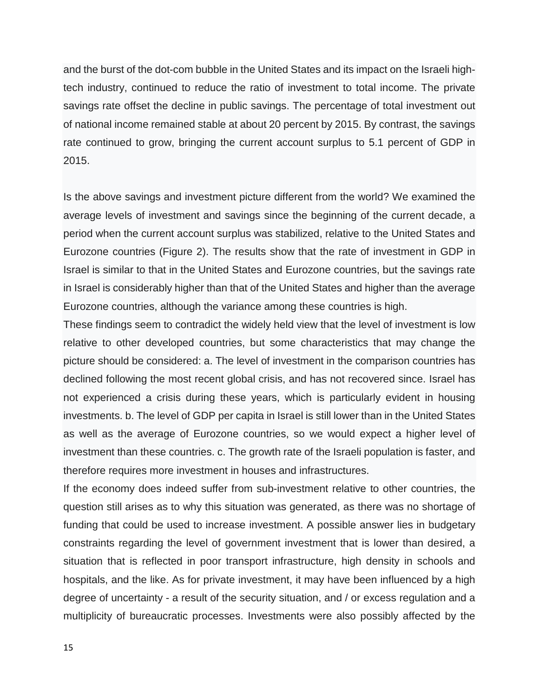and the burst of the dot-com bubble in the United States and its impact on the Israeli hightech industry, continued to reduce the ratio of investment to total income. The private savings rate offset the decline in public savings. The percentage of total investment out of national income remained stable at about 20 percent by 2015. By contrast, the savings rate continued to grow, bringing the current account surplus to 5.1 percent of GDP in 2015.

Is the above savings and investment picture different from the world? We examined the average levels of investment and savings since the beginning of the current decade, a period when the current account surplus was stabilized, relative to the United States and Eurozone countries (Figure 2). The results show that the rate of investment in GDP in Israel is similar to that in the United States and Eurozone countries, but the savings rate in Israel is considerably higher than that of the United States and higher than the average Eurozone countries, although the variance among these countries is high.

These findings seem to contradict the widely held view that the level of investment is low relative to other developed countries, but some characteristics that may change the picture should be considered: a. The level of investment in the comparison countries has declined following the most recent global crisis, and has not recovered since. Israel has not experienced a crisis during these years, which is particularly evident in housing investments. b. The level of GDP per capita in Israel is still lower than in the United States as well as the average of Eurozone countries, so we would expect a higher level of investment than these countries. c. The growth rate of the Israeli population is faster, and therefore requires more investment in houses and infrastructures.

If the economy does indeed suffer from sub-investment relative to other countries, the question still arises as to why this situation was generated, as there was no shortage of funding that could be used to increase investment. A possible answer lies in budgetary constraints regarding the level of government investment that is lower than desired, a situation that is reflected in poor transport infrastructure, high density in schools and hospitals, and the like. As for private investment, it may have been influenced by a high degree of uncertainty - a result of the security situation, and / or excess regulation and a multiplicity of bureaucratic processes. Investments were also possibly affected by the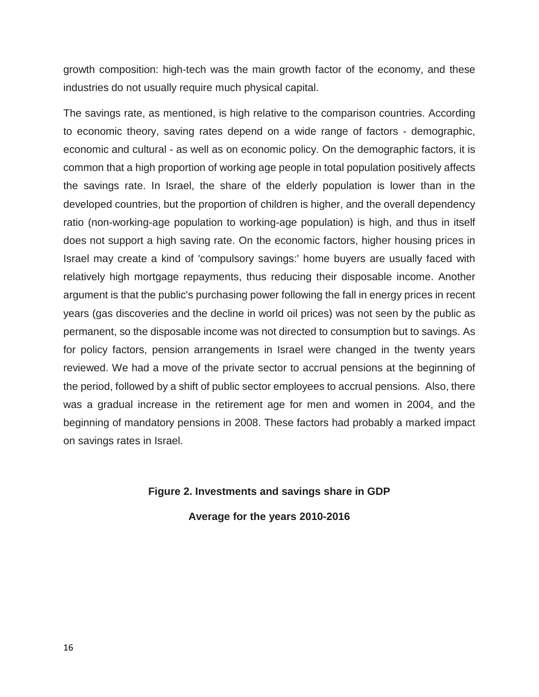growth composition: high-tech was the main growth factor of the economy, and these industries do not usually require much physical capital.

The savings rate, as mentioned, is high relative to the comparison countries. According to economic theory, saving rates depend on a wide range of factors - demographic, economic and cultural - as well as on economic policy. On the demographic factors, it is common that a high proportion of working age people in total population positively affects the savings rate. In Israel, the share of the elderly population is lower than in the developed countries, but the proportion of children is higher, and the overall dependency ratio (non-working-age population to working-age population) is high, and thus in itself does not support a high saving rate. On the economic factors, higher housing prices in Israel may create a kind of 'compulsory savings:' home buyers are usually faced with relatively high mortgage repayments, thus reducing their disposable income. Another argument is that the public's purchasing power following the fall in energy prices in recent years (gas discoveries and the decline in world oil prices) was not seen by the public as permanent, so the disposable income was not directed to consumption but to savings. As for policy factors, pension arrangements in Israel were changed in the twenty years reviewed. We had a move of the private sector to accrual pensions at the beginning of the period, followed by a shift of public sector employees to accrual pensions. Also, there was a gradual increase in the retirement age for men and women in 2004, and the beginning of mandatory pensions in 2008. These factors had probably a marked impact on savings rates in Israel.

### **Figure 2. Investments and savings share in GDP**

**Average for the years 2010-2016**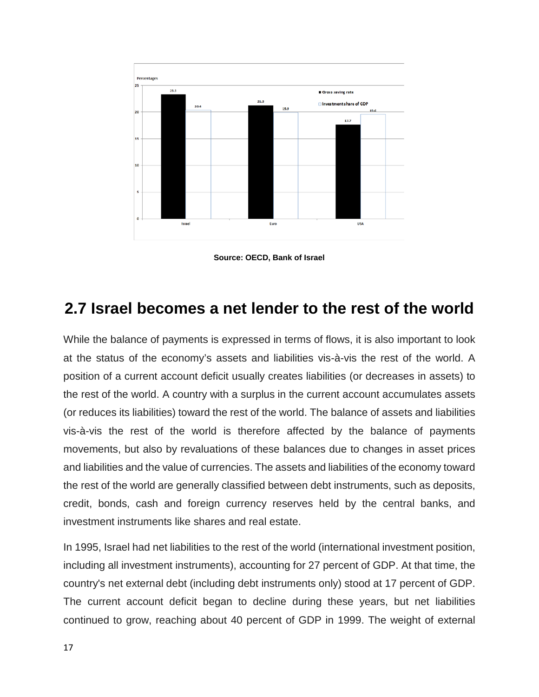

**Source: OECD, Bank of Israel**

### **2.7 Israel becomes a net lender to the rest of the world**

While the balance of payments is expressed in terms of flows, it is also important to look at the status of the economy's assets and liabilities vis-à-vis the rest of the world. A position of a current account deficit usually creates liabilities (or decreases in assets) to the rest of the world. A country with a surplus in the current account accumulates assets (or reduces its liabilities) toward the rest of the world. The balance of assets and liabilities vis-à-vis the rest of the world is therefore affected by the balance of payments movements, but also by revaluations of these balances due to changes in asset prices and liabilities and the value of currencies. The assets and liabilities of the economy toward the rest of the world are generally classified between debt instruments, such as deposits, credit, bonds, cash and foreign currency reserves held by the central banks, and investment instruments like shares and real estate.

In 1995, Israel had net liabilities to the rest of the world (international investment position, including all investment instruments), accounting for 27 percent of GDP. At that time, the country's net external debt (including debt instruments only) stood at 17 percent of GDP. The current account deficit began to decline during these years, but net liabilities continued to grow, reaching about 40 percent of GDP in 1999. The weight of external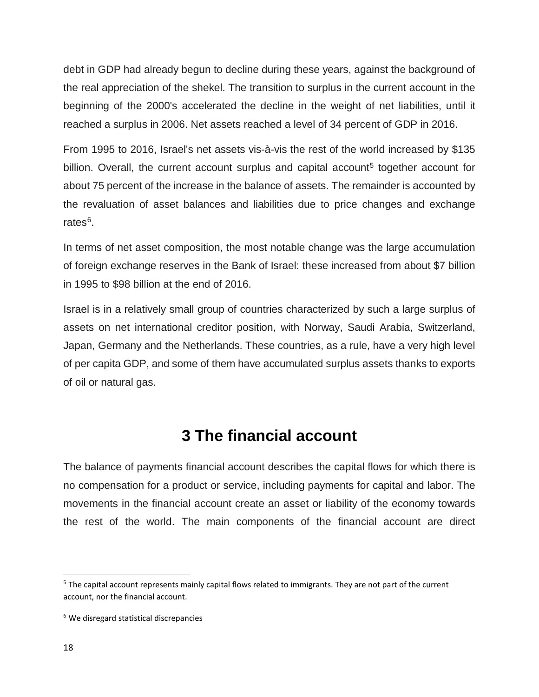debt in GDP had already begun to decline during these years, against the background of the real appreciation of the shekel. The transition to surplus in the current account in the beginning of the 2000's accelerated the decline in the weight of net liabilities, until it reached a surplus in 2006. Net assets reached a level of 34 percent of GDP in 2016.

From 1995 to 2016, Israel's net assets vis-à-vis the rest of the world increased by \$135 billion. Overall, the current account surplus and capital account<sup>[5](#page-18-0)</sup> together account for about 75 percent of the increase in the balance of assets. The remainder is accounted by the revaluation of asset balances and liabilities due to price changes and exchange rates<sup>6</sup>.

In terms of net asset composition, the most notable change was the large accumulation of foreign exchange reserves in the Bank of Israel: these increased from about \$7 billion in 1995 to \$98 billion at the end of 2016.

Israel is in a relatively small group of countries characterized by such a large surplus of assets on net international creditor position, with Norway, Saudi Arabia, Switzerland, Japan, Germany and the Netherlands. These countries, as a rule, have a very high level of per capita GDP, and some of them have accumulated surplus assets thanks to exports of oil or natural gas.

# **3 The financial account**

The balance of payments financial account describes the capital flows for which there is no compensation for a product or service, including payments for capital and labor. The movements in the financial account create an asset or liability of the economy towards the rest of the world. The main components of the financial account are direct

<span id="page-18-0"></span> <sup>5</sup> The capital account represents mainly capital flows related to immigrants. They are not part of the current account, nor the financial account.

<span id="page-18-1"></span><sup>6</sup> We disregard statistical discrepancies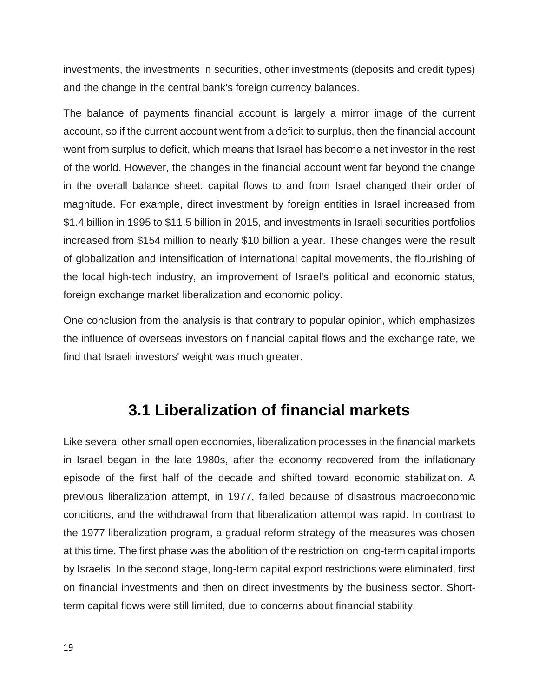investments, the investments in securities, other investments (deposits and credit types) and the change in the central bank's foreign currency balances.

The balance of payments financial account is largely a mirror image of the current account, so if the current account went from a deficit to surplus, then the financial account went from surplus to deficit, which means that Israel has become a net investor in the rest of the world. However, the changes in the financial account went far beyond the change in the overall balance sheet: capital flows to and from Israel changed their order of magnitude. For example, direct investment by foreign entities in Israel increased from \$1.4 billion in 1995 to \$11.5 billion in 2015, and investments in Israeli securities portfolios increased from \$154 million to nearly \$10 billion a year. These changes were the result of globalization and intensification of international capital movements, the flourishing of the local high-tech industry, an improvement of Israel's political and economic status, foreign exchange market liberalization and economic policy.

One conclusion from the analysis is that contrary to popular opinion, which emphasizes the influence of overseas investors on financial capital flows and the exchange rate, we find that Israeli investors' weight was much greater.

### **3.1 Liberalization of financial markets**

Like several other small open economies, liberalization processes in the financial markets in Israel began in the late 1980s, after the economy recovered from the inflationary episode of the first half of the decade and shifted toward economic stabilization. A previous liberalization attempt, in 1977, failed because of disastrous macroeconomic conditions, and the withdrawal from that liberalization attempt was rapid. In contrast to the 1977 liberalization program, a gradual reform strategy of the measures was chosen at this time. The first phase was the abolition of the restriction on long-term capital imports by Israelis. In the second stage, long-term capital export restrictions were eliminated, first on financial investments and then on direct investments by the business sector. Shortterm capital flows were still limited, due to concerns about financial stability.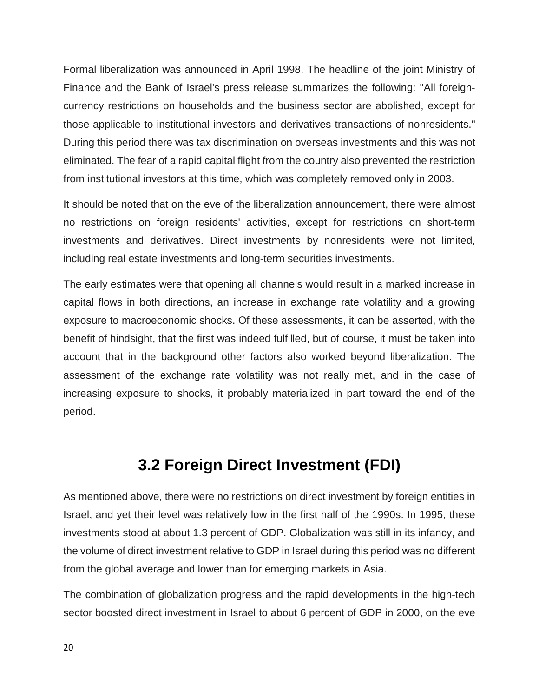Formal liberalization was announced in April 1998. The headline of the joint Ministry of Finance and the Bank of Israel's press release summarizes the following: "All foreigncurrency restrictions on households and the business sector are abolished, except for those applicable to institutional investors and derivatives transactions of nonresidents." During this period there was tax discrimination on overseas investments and this was not eliminated. The fear of a rapid capital flight from the country also prevented the restriction from institutional investors at this time, which was completely removed only in 2003.

It should be noted that on the eve of the liberalization announcement, there were almost no restrictions on foreign residents' activities, except for restrictions on short-term investments and derivatives. Direct investments by nonresidents were not limited, including real estate investments and long-term securities investments.

The early estimates were that opening all channels would result in a marked increase in capital flows in both directions, an increase in exchange rate volatility and a growing exposure to macroeconomic shocks. Of these assessments, it can be asserted, with the benefit of hindsight, that the first was indeed fulfilled, but of course, it must be taken into account that in the background other factors also worked beyond liberalization. The assessment of the exchange rate volatility was not really met, and in the case of increasing exposure to shocks, it probably materialized in part toward the end of the period.

# **3.2 Foreign Direct Investment (FDI)**

As mentioned above, there were no restrictions on direct investment by foreign entities in Israel, and yet their level was relatively low in the first half of the 1990s. In 1995, these investments stood at about 1.3 percent of GDP. Globalization was still in its infancy, and the volume of direct investment relative to GDP in Israel during this period was no different from the global average and lower than for emerging markets in Asia.

The combination of globalization progress and the rapid developments in the high-tech sector boosted direct investment in Israel to about 6 percent of GDP in 2000, on the eve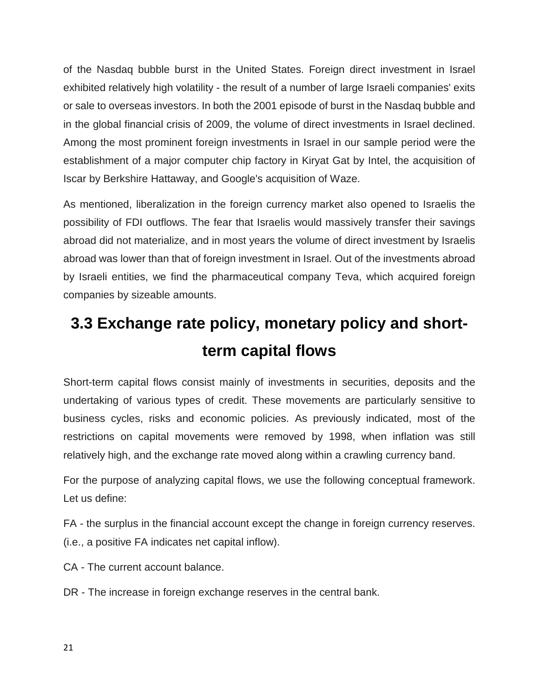of the Nasdaq bubble burst in the United States. Foreign direct investment in Israel exhibited relatively high volatility - the result of a number of large Israeli companies' exits or sale to overseas investors. In both the 2001 episode of burst in the Nasdaq bubble and in the global financial crisis of 2009, the volume of direct investments in Israel declined. Among the most prominent foreign investments in Israel in our sample period were the establishment of a major computer chip factory in Kiryat Gat by Intel, the acquisition of Iscar by Berkshire Hattaway, and Google's acquisition of Waze.

As mentioned, liberalization in the foreign currency market also opened to Israelis the possibility of FDI outflows. The fear that Israelis would massively transfer their savings abroad did not materialize, and in most years the volume of direct investment by Israelis abroad was lower than that of foreign investment in Israel. Out of the investments abroad by Israeli entities, we find the pharmaceutical company Teva, which acquired foreign companies by sizeable amounts.

# **3.3 Exchange rate policy, monetary policy and shortterm capital flows**

Short-term capital flows consist mainly of investments in securities, deposits and the undertaking of various types of credit. These movements are particularly sensitive to business cycles, risks and economic policies. As previously indicated, most of the restrictions on capital movements were removed by 1998, when inflation was still relatively high, and the exchange rate moved along within a crawling currency band.

For the purpose of analyzing capital flows, we use the following conceptual framework. Let us define:

FA - the surplus in the financial account except the change in foreign currency reserves. (i.e., a positive FA indicates net capital inflow).

CA - The current account balance.

DR - The increase in foreign exchange reserves in the central bank.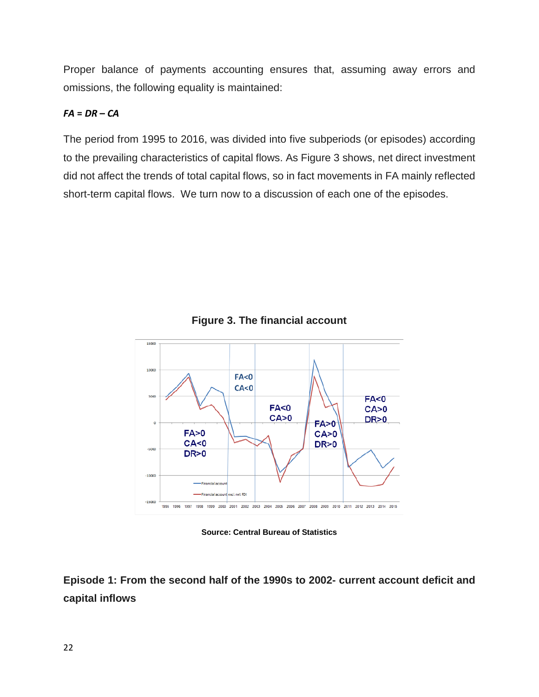Proper balance of payments accounting ensures that, assuming away errors and omissions, the following equality is maintained:

### $FA = DR - CA$

The period from 1995 to 2016, was divided into five subperiods (or episodes) according to the prevailing characteristics of capital flows. As Figure 3 shows, net direct investment did not affect the trends of total capital flows, so in fact movements in FA mainly reflected short-term capital flows. We turn now to a discussion of each one of the episodes.



**Figure 3. The financial account**

**Source: Central Bureau of Statistics**

**Episode 1: From the second half of the 1990s to 2002- current account deficit and capital inflows**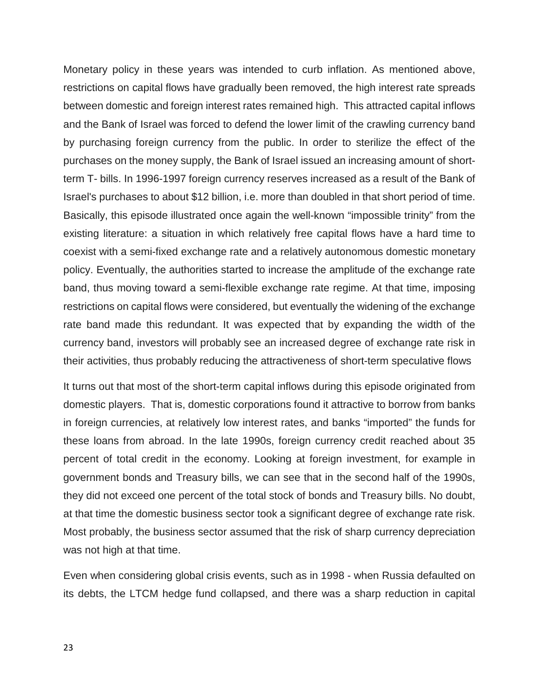Monetary policy in these years was intended to curb inflation. As mentioned above, restrictions on capital flows have gradually been removed, the high interest rate spreads between domestic and foreign interest rates remained high. This attracted capital inflows and the Bank of Israel was forced to defend the lower limit of the crawling currency band by purchasing foreign currency from the public. In order to sterilize the effect of the purchases on the money supply, the Bank of Israel issued an increasing amount of shortterm T- bills. In 1996-1997 foreign currency reserves increased as a result of the Bank of Israel's purchases to about \$12 billion, i.e. more than doubled in that short period of time. Basically, this episode illustrated once again the well-known "impossible trinity" from the existing literature: a situation in which relatively free capital flows have a hard time to coexist with a semi-fixed exchange rate and a relatively autonomous domestic monetary policy. Eventually, the authorities started to increase the amplitude of the exchange rate band, thus moving toward a semi-flexible exchange rate regime. At that time, imposing restrictions on capital flows were considered, but eventually the widening of the exchange rate band made this redundant. It was expected that by expanding the width of the currency band, investors will probably see an increased degree of exchange rate risk in their activities, thus probably reducing the attractiveness of short-term speculative flows

It turns out that most of the short-term capital inflows during this episode originated from domestic players. That is, domestic corporations found it attractive to borrow from banks in foreign currencies, at relatively low interest rates, and banks "imported" the funds for these loans from abroad. In the late 1990s, foreign currency credit reached about 35 percent of total credit in the economy. Looking at foreign investment, for example in government bonds and Treasury bills, we can see that in the second half of the 1990s, they did not exceed one percent of the total stock of bonds and Treasury bills. No doubt, at that time the domestic business sector took a significant degree of exchange rate risk. Most probably, the business sector assumed that the risk of sharp currency depreciation was not high at that time.

Even when considering global crisis events, such as in 1998 - when Russia defaulted on its debts, the LTCM hedge fund collapsed, and there was a sharp reduction in capital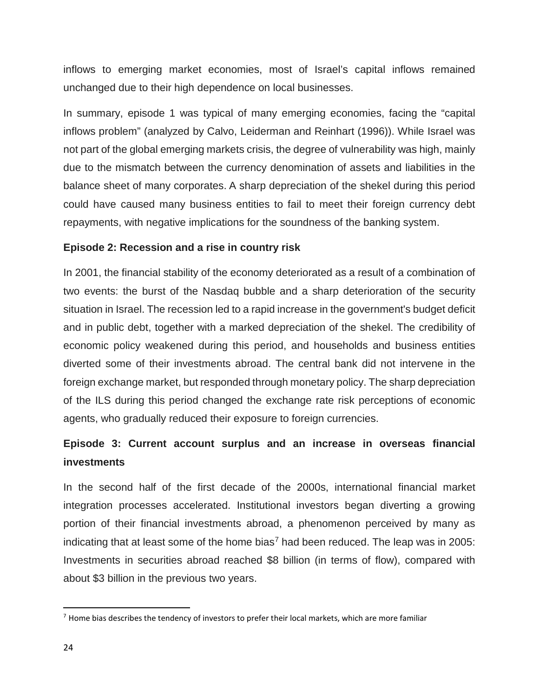inflows to emerging market economies, most of Israel's capital inflows remained unchanged due to their high dependence on local businesses.

In summary, episode 1 was typical of many emerging economies, facing the "capital inflows problem" (analyzed by Calvo, Leiderman and Reinhart (1996)). While Israel was not part of the global emerging markets crisis, the degree of vulnerability was high, mainly due to the mismatch between the currency denomination of assets and liabilities in the balance sheet of many corporates. A sharp depreciation of the shekel during this period could have caused many business entities to fail to meet their foreign currency debt repayments, with negative implications for the soundness of the banking system.

### **Episode 2: Recession and a rise in country risk**

In 2001, the financial stability of the economy deteriorated as a result of a combination of two events: the burst of the Nasdaq bubble and a sharp deterioration of the security situation in Israel. The recession led to a rapid increase in the government's budget deficit and in public debt, together with a marked depreciation of the shekel. The credibility of economic policy weakened during this period, and households and business entities diverted some of their investments abroad. The central bank did not intervene in the foreign exchange market, but responded through monetary policy. The sharp depreciation of the ILS during this period changed the exchange rate risk perceptions of economic agents, who gradually reduced their exposure to foreign currencies.

### **Episode 3: Current account surplus and an increase in overseas financial investments**

In the second half of the first decade of the 2000s, international financial market integration processes accelerated. Institutional investors began diverting a growing portion of their financial investments abroad, a phenomenon perceived by many as indicating that at least some of the home bias<sup>[7](#page-24-0)</sup> had been reduced. The leap was in 2005: Investments in securities abroad reached \$8 billion (in terms of flow), compared with about \$3 billion in the previous two years.

<span id="page-24-0"></span> $<sup>7</sup>$  Home bias describes the tendency of investors to prefer their local markets, which are more familiar</sup>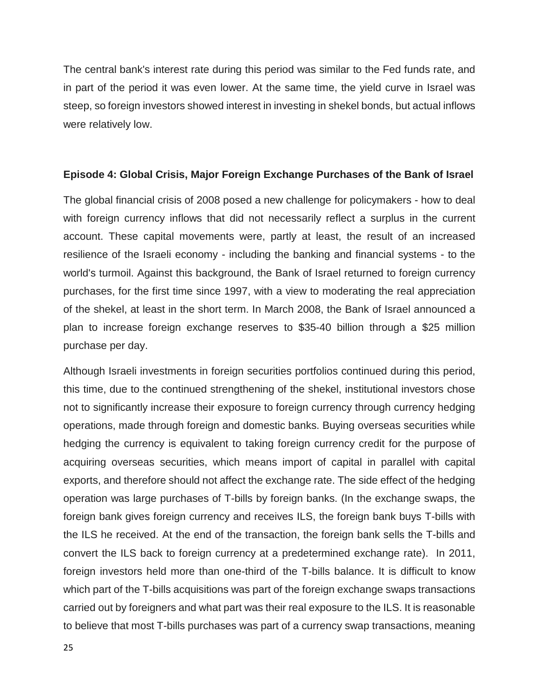The central bank's interest rate during this period was similar to the Fed funds rate, and in part of the period it was even lower. At the same time, the yield curve in Israel was steep, so foreign investors showed interest in investing in shekel bonds, but actual inflows were relatively low.

#### **Episode 4: Global Crisis, Major Foreign Exchange Purchases of the Bank of Israel**

The global financial crisis of 2008 posed a new challenge for policymakers - how to deal with foreign currency inflows that did not necessarily reflect a surplus in the current account. These capital movements were, partly at least, the result of an increased resilience of the Israeli economy - including the banking and financial systems - to the world's turmoil. Against this background, the Bank of Israel returned to foreign currency purchases, for the first time since 1997, with a view to moderating the real appreciation of the shekel, at least in the short term. In March 2008, the Bank of Israel announced a plan to increase foreign exchange reserves to \$35-40 billion through a \$25 million purchase per day.

Although Israeli investments in foreign securities portfolios continued during this period, this time, due to the continued strengthening of the shekel, institutional investors chose not to significantly increase their exposure to foreign currency through currency hedging operations, made through foreign and domestic banks. Buying overseas securities while hedging the currency is equivalent to taking foreign currency credit for the purpose of acquiring overseas securities, which means import of capital in parallel with capital exports, and therefore should not affect the exchange rate. The side effect of the hedging operation was large purchases of T-bills by foreign banks. (In the exchange swaps, the foreign bank gives foreign currency and receives ILS, the foreign bank buys T-bills with the ILS he received. At the end of the transaction, the foreign bank sells the T-bills and convert the ILS back to foreign currency at a predetermined exchange rate). In 2011, foreign investors held more than one-third of the T-bills balance. It is difficult to know which part of the T-bills acquisitions was part of the foreign exchange swaps transactions carried out by foreigners and what part was their real exposure to the ILS. It is reasonable to believe that most T-bills purchases was part of a currency swap transactions, meaning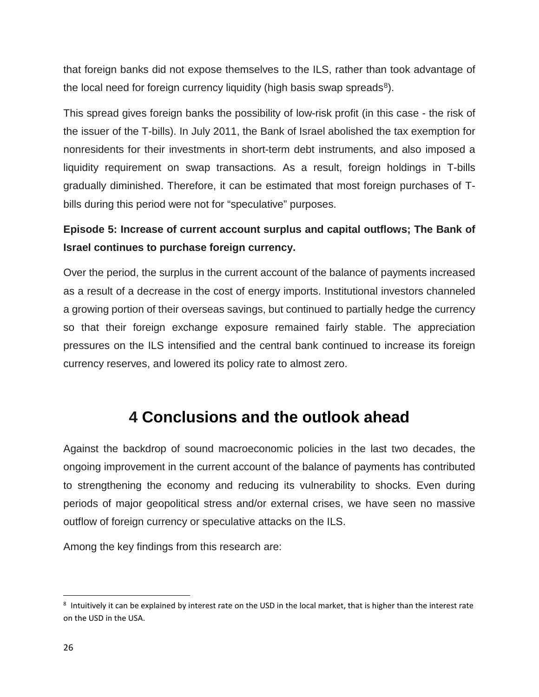that foreign banks did not expose themselves to the ILS, rather than took advantage of the local need for foreign currency liquidity (high basis swap spreads $8$ ).

This spread gives foreign banks the possibility of low-risk profit (in this case - the risk of the issuer of the T-bills). In July 2011, the Bank of Israel abolished the tax exemption for nonresidents for their investments in short-term debt instruments, and also imposed a liquidity requirement on swap transactions. As a result, foreign holdings in T-bills gradually diminished. Therefore, it can be estimated that most foreign purchases of Tbills during this period were not for "speculative" purposes.

### **Episode 5: Increase of current account surplus and capital outflows; The Bank of Israel continues to purchase foreign currency.**

Over the period, the surplus in the current account of the balance of payments increased as a result of a decrease in the cost of energy imports. Institutional investors channeled a growing portion of their overseas savings, but continued to partially hedge the currency so that their foreign exchange exposure remained fairly stable. The appreciation pressures on the ILS intensified and the central bank continued to increase its foreign currency reserves, and lowered its policy rate to almost zero.

## **4 Conclusions and the outlook ahead**

Against the backdrop of sound macroeconomic policies in the last two decades, the ongoing improvement in the current account of the balance of payments has contributed to strengthening the economy and reducing its vulnerability to shocks. Even during periods of major geopolitical stress and/or external crises, we have seen no massive outflow of foreign currency or speculative attacks on the ILS.

Among the key findings from this research are:

<span id="page-26-0"></span><sup>&</sup>lt;sup>8</sup> Intuitively it can be explained by interest rate on the USD in the local market, that is higher than the interest rate on the USD in the USA.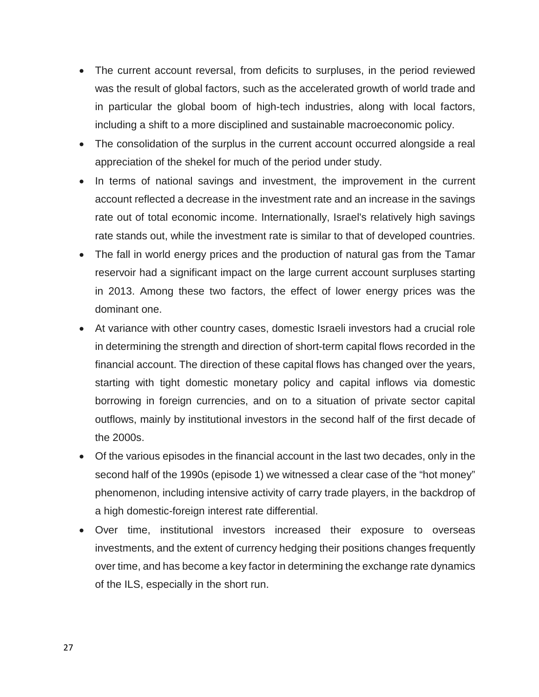- The current account reversal, from deficits to surpluses, in the period reviewed was the result of global factors, such as the accelerated growth of world trade and in particular the global boom of high-tech industries, along with local factors, including a shift to a more disciplined and sustainable macroeconomic policy.
- The consolidation of the surplus in the current account occurred alongside a real appreciation of the shekel for much of the period under study.
- In terms of national savings and investment, the improvement in the current account reflected a decrease in the investment rate and an increase in the savings rate out of total economic income. Internationally, Israel's relatively high savings rate stands out, while the investment rate is similar to that of developed countries.
- The fall in world energy prices and the production of natural gas from the Tamar reservoir had a significant impact on the large current account surpluses starting in 2013. Among these two factors, the effect of lower energy prices was the dominant one.
- At variance with other country cases, domestic Israeli investors had a crucial role in determining the strength and direction of short-term capital flows recorded in the financial account. The direction of these capital flows has changed over the years, starting with tight domestic monetary policy and capital inflows via domestic borrowing in foreign currencies, and on to a situation of private sector capital outflows, mainly by institutional investors in the second half of the first decade of the 2000s.
- Of the various episodes in the financial account in the last two decades, only in the second half of the 1990s (episode 1) we witnessed a clear case of the "hot money" phenomenon, including intensive activity of carry trade players, in the backdrop of a high domestic-foreign interest rate differential.
- Over time, institutional investors increased their exposure to overseas investments, and the extent of currency hedging their positions changes frequently over time, and has become a key factor in determining the exchange rate dynamics of the ILS, especially in the short run.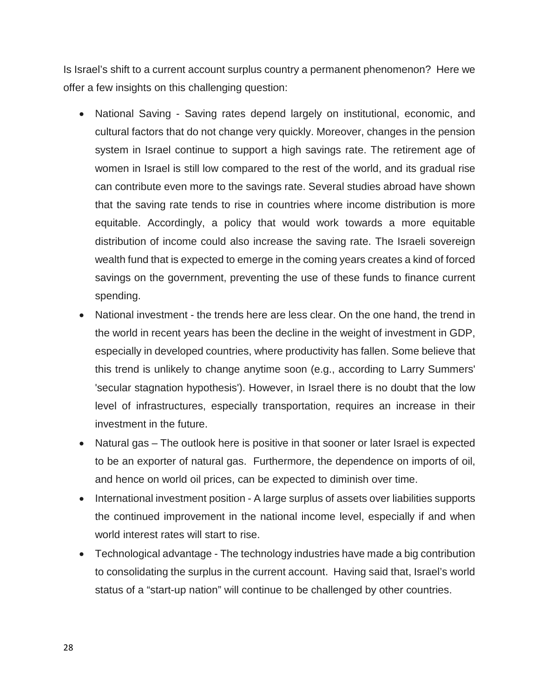Is Israel's shift to a current account surplus country a permanent phenomenon? Here we offer a few insights on this challenging question:

- National Saving Saving rates depend largely on institutional, economic, and cultural factors that do not change very quickly. Moreover, changes in the pension system in Israel continue to support a high savings rate. The retirement age of women in Israel is still low compared to the rest of the world, and its gradual rise can contribute even more to the savings rate. Several studies abroad have shown that the saving rate tends to rise in countries where income distribution is more equitable. Accordingly, a policy that would work towards a more equitable distribution of income could also increase the saving rate. The Israeli sovereign wealth fund that is expected to emerge in the coming years creates a kind of forced savings on the government, preventing the use of these funds to finance current spending.
- National investment the trends here are less clear. On the one hand, the trend in the world in recent years has been the decline in the weight of investment in GDP, especially in developed countries, where productivity has fallen. Some believe that this trend is unlikely to change anytime soon (e.g., according to Larry Summers' 'secular stagnation hypothesis'). However, in Israel there is no doubt that the low level of infrastructures, especially transportation, requires an increase in their investment in the future.
- Natural gas The outlook here is positive in that sooner or later Israel is expected to be an exporter of natural gas. Furthermore, the dependence on imports of oil, and hence on world oil prices, can be expected to diminish over time.
- International investment position A large surplus of assets over liabilities supports the continued improvement in the national income level, especially if and when world interest rates will start to rise.
- Technological advantage The technology industries have made a big contribution to consolidating the surplus in the current account. Having said that, Israel's world status of a "start-up nation" will continue to be challenged by other countries.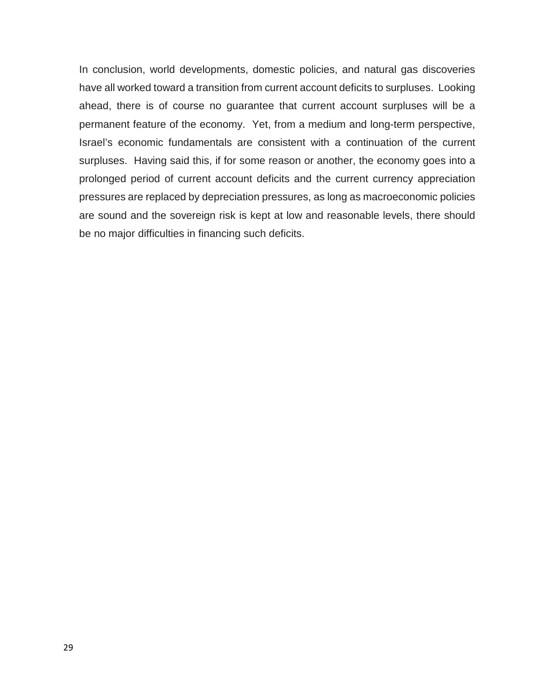In conclusion, world developments, domestic policies, and natural gas discoveries have all worked toward a transition from current account deficits to surpluses. Looking ahead, there is of course no guarantee that current account surpluses will be a permanent feature of the economy. Yet, from a medium and long-term perspective, Israel's economic fundamentals are consistent with a continuation of the current surpluses. Having said this, if for some reason or another, the economy goes into a prolonged period of current account deficits and the current currency appreciation pressures are replaced by depreciation pressures, as long as macroeconomic policies are sound and the sovereign risk is kept at low and reasonable levels, there should be no major difficulties in financing such deficits.